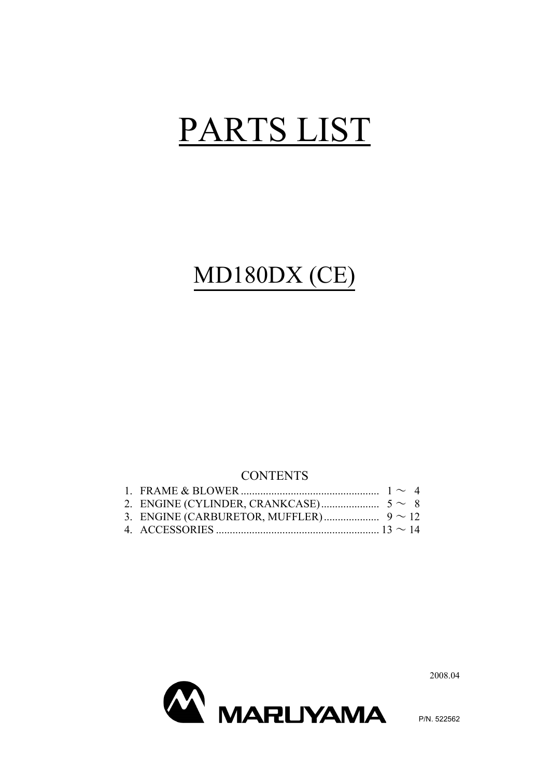# PARTS LIST

# MD180DX (CE)

#### **CONTENTS**



2008.04

P/N. 522562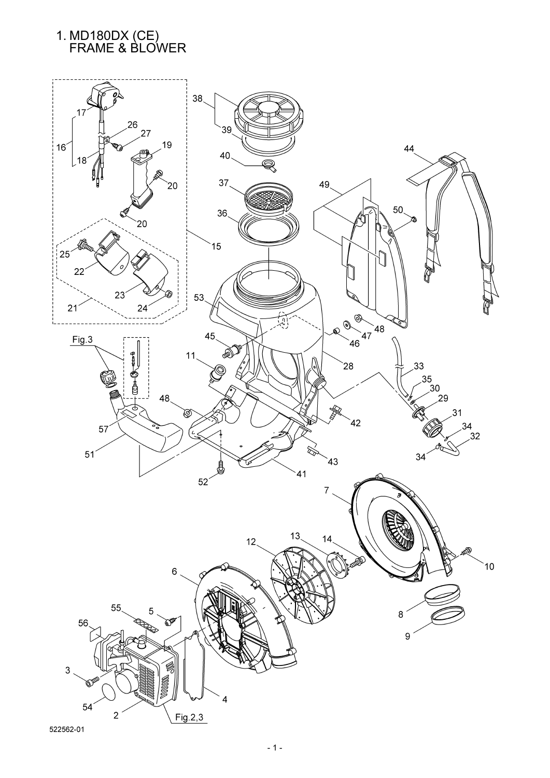# 1. MD180DX (CE) FRAME & BLOWER

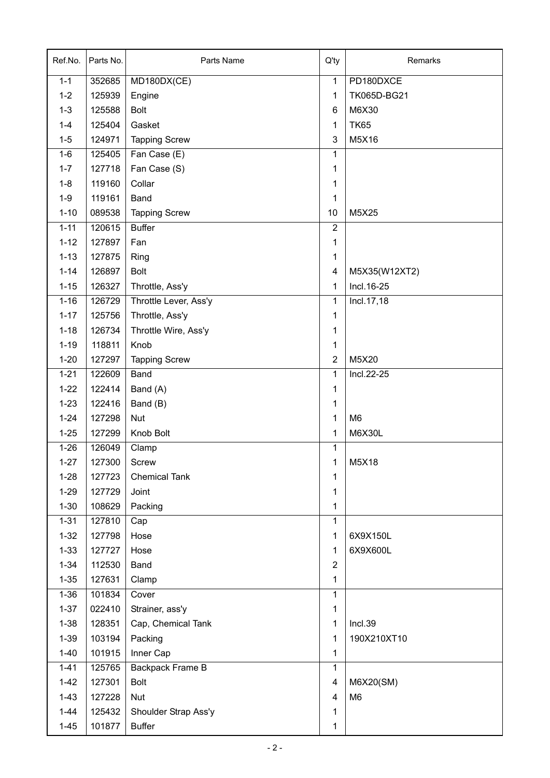| Ref.No.  | Parts No. | Parts Name            | $Q'$ ty                 | Remarks        |
|----------|-----------|-----------------------|-------------------------|----------------|
| $1 - 1$  | 352685    | MD180DX(CE)           | $\mathbf{1}$            | PD180DXCE      |
| $1 - 2$  | 125939    | Engine                | 1                       | TK065D-BG21    |
| $1 - 3$  | 125588    | <b>Bolt</b>           | 6                       | M6X30          |
| $1 - 4$  | 125404    | Gasket                | 1                       | <b>TK65</b>    |
| $1 - 5$  | 124971    | <b>Tapping Screw</b>  | 3                       | M5X16          |
| $1-6$    | 125405    | Fan Case (E)          | 1                       |                |
| $1 - 7$  | 127718    | Fan Case (S)          | 1                       |                |
| $1 - 8$  | 119160    | Collar                | 1                       |                |
| $1-9$    | 119161    | Band                  | 1                       |                |
| $1 - 10$ | 089538    | <b>Tapping Screw</b>  | 10                      | M5X25          |
| $1 - 11$ | 120615    | <b>Buffer</b>         | $\overline{2}$          |                |
| $1 - 12$ | 127897    | Fan                   | 1                       |                |
| $1 - 13$ | 127875    | Ring                  | 1                       |                |
| $1 - 14$ | 126897    | <b>Bolt</b>           | $\overline{\mathbf{4}}$ | M5X35(W12XT2)  |
| $1 - 15$ | 126327    | Throttle, Ass'y       | 1                       | Incl. 16-25    |
| $1 - 16$ | 126729    | Throttle Lever, Ass'y | 1                       | Incl.17,18     |
| $1 - 17$ | 125756    | Throttle, Ass'y       | 1                       |                |
| $1 - 18$ | 126734    | Throttle Wire, Ass'y  | 1                       |                |
| $1 - 19$ | 118811    | Knob                  | 1                       |                |
| $1 - 20$ | 127297    | <b>Tapping Screw</b>  | $\overline{2}$          | M5X20          |
| $1 - 21$ | 122609    | Band                  | 1                       | Incl.22-25     |
| $1 - 22$ | 122414    | Band (A)              | 1                       |                |
| $1 - 23$ | 122416    | Band (B)              | 1                       |                |
| $1 - 24$ | 127298    | <b>Nut</b>            | 1                       | M <sub>6</sub> |
| $1 - 25$ | 127299    | Knob Bolt             | 1                       | <b>M6X30L</b>  |
| $1 - 26$ | 126049    | Clamp                 | 1                       |                |
| $1 - 27$ | 127300    | Screw                 | $\mathbf{1}$            | M5X18          |
| $1 - 28$ | 127723    | <b>Chemical Tank</b>  | 1                       |                |
| $1 - 29$ | 127729    | Joint                 | 1                       |                |
| $1 - 30$ | 108629    | Packing               | 1                       |                |
| $1 - 31$ | 127810    | Cap                   | 1                       |                |
| $1 - 32$ | 127798    | Hose                  | 1                       | 6X9X150L       |
| $1 - 33$ | 127727    | Hose                  | 1                       | 6X9X600L       |
| $1 - 34$ | 112530    | Band                  | $\overline{2}$          |                |
| $1 - 35$ | 127631    | Clamp                 | 1                       |                |
| $1 - 36$ | 101834    | Cover                 | 1                       |                |
| $1 - 37$ | 022410    | Strainer, ass'y       | 1                       |                |
| $1 - 38$ | 128351    | Cap, Chemical Tank    | 1                       | Incl.39        |
| $1 - 39$ | 103194    | Packing               | 1                       | 190X210XT10    |
| $1 - 40$ | 101915    | Inner Cap             | 1                       |                |
| $1 - 41$ | 125765    | Backpack Frame B      | 1                       |                |
| $1 - 42$ | 127301    | Bolt                  | 4                       | M6X20(SM)      |
| $1 - 43$ | 127228    | Nut                   | 4                       | M <sub>6</sub> |
| $1 - 44$ | 125432    | Shoulder Strap Ass'y  | 1                       |                |
| $1 - 45$ | 101877    | <b>Buffer</b>         | 1                       |                |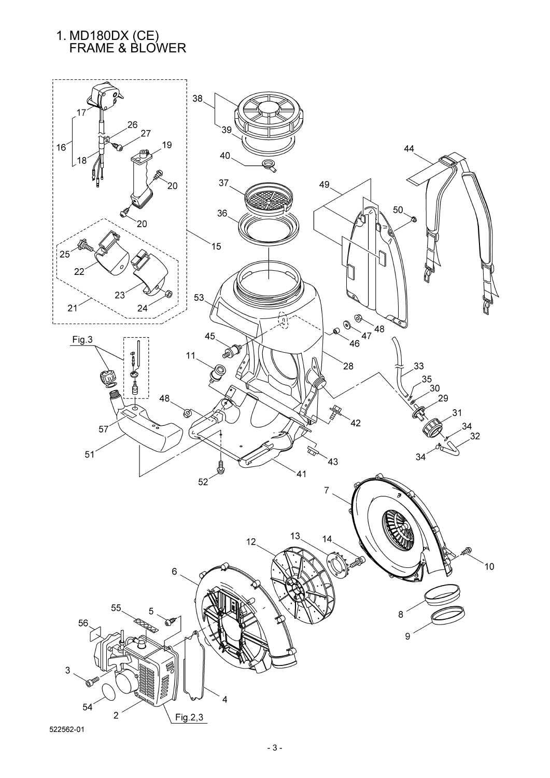# 1. MD180DX (CE) FRAME & BLOWER

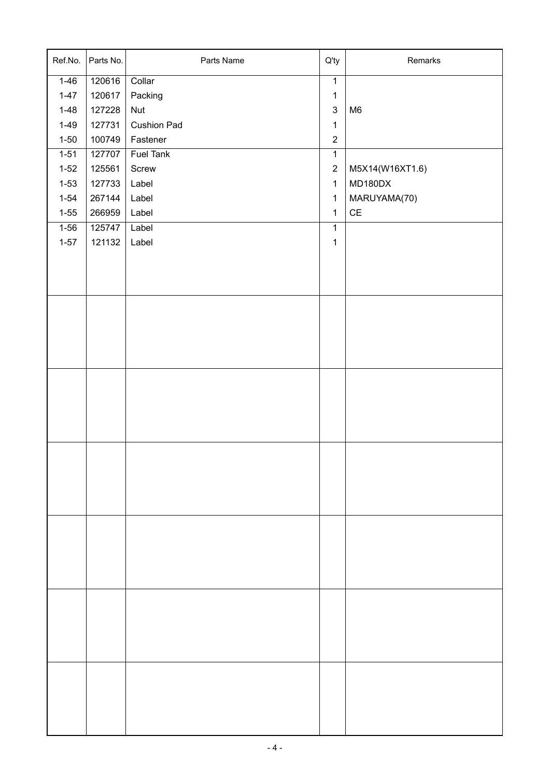| Ref.No.  | Parts No. | Parts Name         | Q'ty           | Remarks                       |
|----------|-----------|--------------------|----------------|-------------------------------|
| $1 - 46$ | 120616    | Collar             | $\overline{1}$ |                               |
| $1 - 47$ | 120617    | Packing            | $\mathbf{1}$   |                               |
| $1 - 48$ | 127228    | <b>Nut</b>         | $\sqrt{3}$     | M <sub>6</sub>                |
| $1 - 49$ | 127731    | <b>Cushion Pad</b> | $\mathbf{1}$   |                               |
| $1 - 50$ | 100749    | Fastener           | $\mathbf 2$    |                               |
| $1 - 51$ | 127707    | <b>Fuel Tank</b>   | $\mathbf{1}$   |                               |
| $1 - 52$ | 125561    | Screw              | $\sqrt{2}$     | M5X14(W16XT1.6)               |
| $1 - 53$ | 127733    | Label              | $\mathbf{1}$   | MD180DX                       |
| $1 - 54$ | 267144    | Label              | $\mathbf{1}$   | MARUYAMA(70)                  |
| $1 - 55$ | 266959    | Label              | $\mathbf{1}$   | $\mathsf{CE}% _{\mathcal{A}}$ |
| $1 - 56$ | 125747    | Label              | $\mathbf{1}$   |                               |
| $1 - 57$ | 121132    | Label              | $\mathbf 1$    |                               |
|          |           |                    |                |                               |
|          |           |                    |                |                               |
|          |           |                    |                |                               |
|          |           |                    |                |                               |
|          |           |                    |                |                               |
|          |           |                    |                |                               |
|          |           |                    |                |                               |
|          |           |                    |                |                               |
|          |           |                    |                |                               |
|          |           |                    |                |                               |
|          |           |                    |                |                               |
|          |           |                    |                |                               |
|          |           |                    |                |                               |
|          |           |                    |                |                               |
|          |           |                    |                |                               |
|          |           |                    |                |                               |
|          |           |                    |                |                               |
|          |           |                    |                |                               |
|          |           |                    |                |                               |
|          |           |                    |                |                               |
|          |           |                    |                |                               |
|          |           |                    |                |                               |
|          |           |                    |                |                               |
|          |           |                    |                |                               |
|          |           |                    |                |                               |
|          |           |                    |                |                               |
|          |           |                    |                |                               |
|          |           |                    |                |                               |
|          |           |                    |                |                               |
|          |           |                    |                |                               |
|          |           |                    |                |                               |
|          |           |                    |                |                               |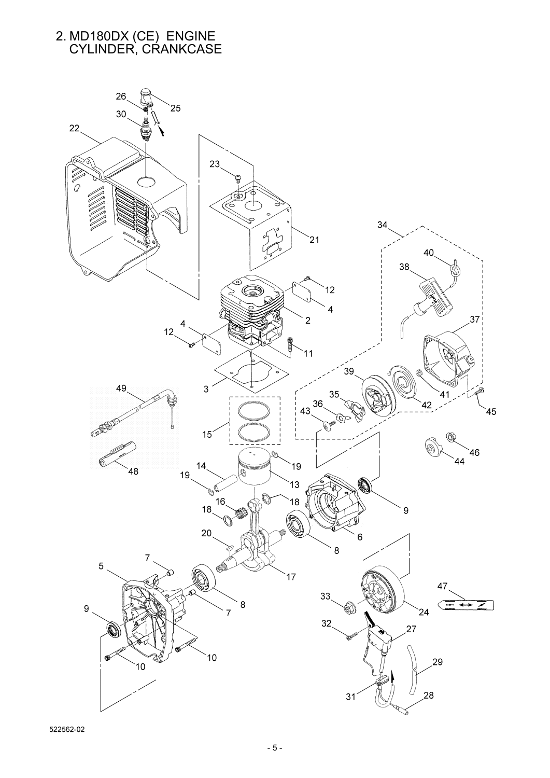# 2. MD180DX (CE) ENGINE CYLINDER, CRANKCASE



522562-02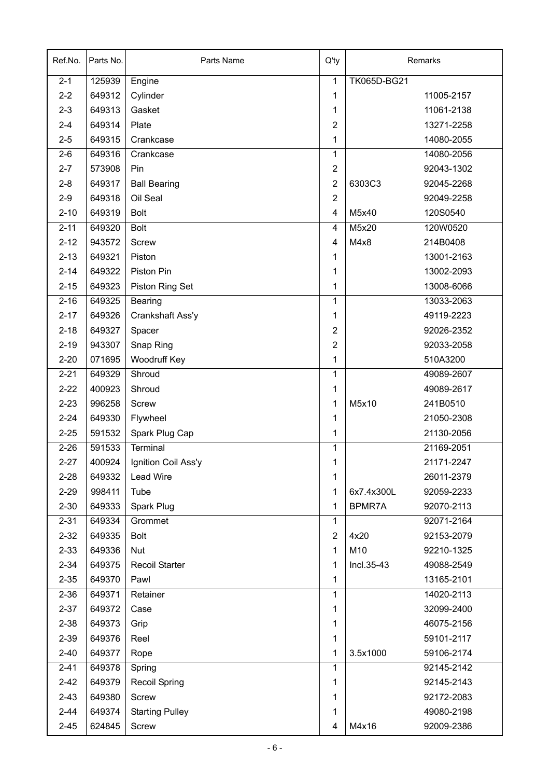| Ref.No.  | Parts No. | Parts Name             | $Q'$ ty        | Remarks                  |  |
|----------|-----------|------------------------|----------------|--------------------------|--|
| $2 - 1$  | 125939    | Engine                 | $\mathbf{1}$   | TK065D-BG21              |  |
| $2 - 2$  | 649312    | Cylinder               | 1              | 11005-2157               |  |
| $2 - 3$  | 649313    | Gasket                 | 1              | 11061-2138               |  |
| $2 - 4$  | 649314    | Plate                  | $\overline{2}$ | 13271-2258               |  |
| $2 - 5$  | 649315    | Crankcase              | $\mathbf{1}$   | 14080-2055               |  |
| $2 - 6$  | 649316    | Crankcase              | $\mathbf{1}$   | 14080-2056               |  |
| $2 - 7$  | 573908    | Pin                    | $\overline{c}$ | 92043-1302               |  |
| $2 - 8$  | 649317    | <b>Ball Bearing</b>    | $\overline{2}$ | 6303C3<br>92045-2268     |  |
| $2 - 9$  | 649318    | Oil Seal               | $\overline{2}$ | 92049-2258               |  |
| $2 - 10$ | 649319    | <b>Bolt</b>            | 4              | 120S0540<br>M5x40        |  |
| $2 - 11$ | 649320    | <b>Bolt</b>            | 4              | M5x20<br>120W0520        |  |
| $2 - 12$ | 943572    | <b>Screw</b>           | 4              | M4x8<br>214B0408         |  |
| $2 - 13$ | 649321    | Piston                 | 1              | 13001-2163               |  |
| $2 - 14$ | 649322    | Piston Pin             | 1              | 13002-2093               |  |
| $2 - 15$ | 649323    | Piston Ring Set        | 1              | 13008-6066               |  |
| $2 - 16$ | 649325    | <b>Bearing</b>         | 1              | 13033-2063               |  |
| $2 - 17$ | 649326    | Crankshaft Ass'y       | 1              | 49119-2223               |  |
| $2 - 18$ | 649327    | Spacer                 | $\overline{2}$ | 92026-2352               |  |
| $2 - 19$ | 943307    | Snap Ring              | $\overline{2}$ | 92033-2058               |  |
| $2 - 20$ | 071695    | Woodruff Key           | 1              | 510A3200                 |  |
| $2 - 21$ | 649329    | Shroud                 | 1              | 49089-2607               |  |
| $2 - 22$ | 400923    | Shroud                 | 1              | 49089-2617               |  |
| $2 - 23$ | 996258    | <b>Screw</b>           | 1              | M5x10<br>241B0510        |  |
| $2 - 24$ | 649330    | Flywheel               | 1              | 21050-2308               |  |
| $2 - 25$ | 591532    | Spark Plug Cap         | 1              | 21130-2056               |  |
| $2 - 26$ | 591533    | Terminal               | 1              | 21169-2051               |  |
| $2 - 27$ | 400924    | Ignition Coil Ass'y    | 1              | 21171-2247               |  |
| $2 - 28$ | 649332    | Lead Wire              | 1              | 26011-2379               |  |
| $2 - 29$ | 998411    | Tube                   | 1              | 6x7.4x300L<br>92059-2233 |  |
| $2 - 30$ | 649333    | Spark Plug             | 1              | BPMR7A<br>92070-2113     |  |
| $2 - 31$ | 649334    | Grommet                | 1              | 92071-2164               |  |
| $2 - 32$ | 649335    | <b>Bolt</b>            | $\overline{2}$ | 4x20<br>92153-2079       |  |
| $2 - 33$ | 649336    | Nut                    | 1              | M10<br>92210-1325        |  |
| $2 - 34$ | 649375    | <b>Recoil Starter</b>  | 1              | Incl.35-43<br>49088-2549 |  |
| $2 - 35$ | 649370    | Pawl                   | 1              | 13165-2101               |  |
| $2 - 36$ | 649371    | Retainer               | 1              | 14020-2113               |  |
| $2 - 37$ | 649372    | Case                   | 1              | 32099-2400               |  |
| $2 - 38$ | 649373    | Grip                   | 1              | 46075-2156               |  |
| $2 - 39$ | 649376    | Reel                   | 1              | 59101-2117               |  |
| $2 - 40$ | 649377    | Rope                   | 1              | 3.5x1000<br>59106-2174   |  |
| $2 - 41$ | 649378    | Spring                 | 1              | 92145-2142               |  |
| $2 - 42$ | 649379    | <b>Recoil Spring</b>   | 1              | 92145-2143               |  |
| $2 - 43$ | 649380    | Screw                  | 1              | 92172-2083               |  |
| $2 - 44$ | 649374    | <b>Starting Pulley</b> | 1              | 49080-2198               |  |
| $2 - 45$ | 624845    | Screw                  | 4              | M4x16<br>92009-2386      |  |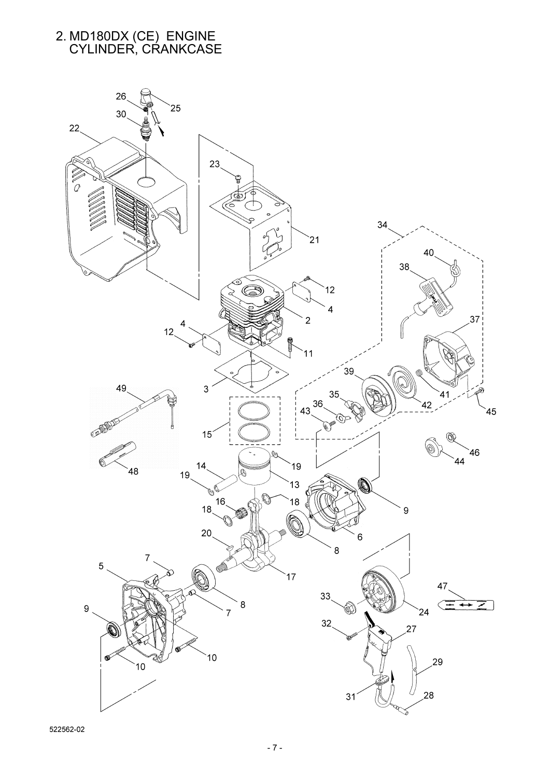## 2. MD180DX (CE) ENGINE CYLINDER, CRANKCASE

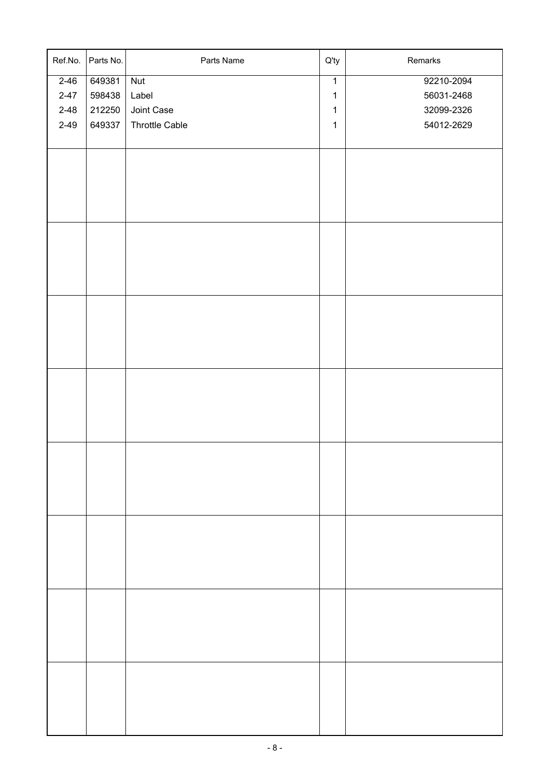| Ref.No.  | Parts No. | Parts Name            | $Q'$ ty        | Remarks    |
|----------|-----------|-----------------------|----------------|------------|
| $2 - 46$ | 649381    | Nut                   | $\overline{1}$ | 92210-2094 |
| $2 - 47$ | 598438    | Label                 | $\mathbf{1}$   | 56031-2468 |
| $2 - 48$ | 212250    | Joint Case            | $\mathbf{1}$   | 32099-2326 |
| $2 - 49$ | 649337    | <b>Throttle Cable</b> | $\mathbf{1}$   | 54012-2629 |
|          |           |                       |                |            |
|          |           |                       |                |            |
|          |           |                       |                |            |
|          |           |                       |                |            |
|          |           |                       |                |            |
|          |           |                       |                |            |
|          |           |                       |                |            |
|          |           |                       |                |            |
|          |           |                       |                |            |
|          |           |                       |                |            |
|          |           |                       |                |            |
|          |           |                       |                |            |
|          |           |                       |                |            |
|          |           |                       |                |            |
|          |           |                       |                |            |
|          |           |                       |                |            |
|          |           |                       |                |            |
|          |           |                       |                |            |
|          |           |                       |                |            |
|          |           |                       |                |            |
|          |           |                       |                |            |
|          |           |                       |                |            |
|          |           |                       |                |            |
|          |           |                       |                |            |
|          |           |                       |                |            |
|          |           |                       |                |            |
|          |           |                       |                |            |
|          |           |                       |                |            |
|          |           |                       |                |            |
|          |           |                       |                |            |
|          |           |                       |                |            |
|          |           |                       |                |            |
|          |           |                       |                |            |
|          |           |                       |                |            |
|          |           |                       |                |            |
|          |           |                       |                |            |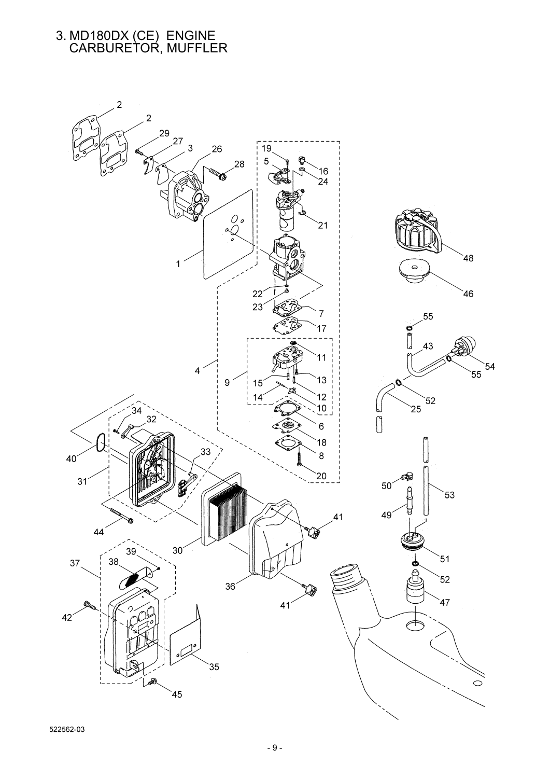#### 3. MD180DX (CE) ENGINE CARBURETOR, MUFFLER

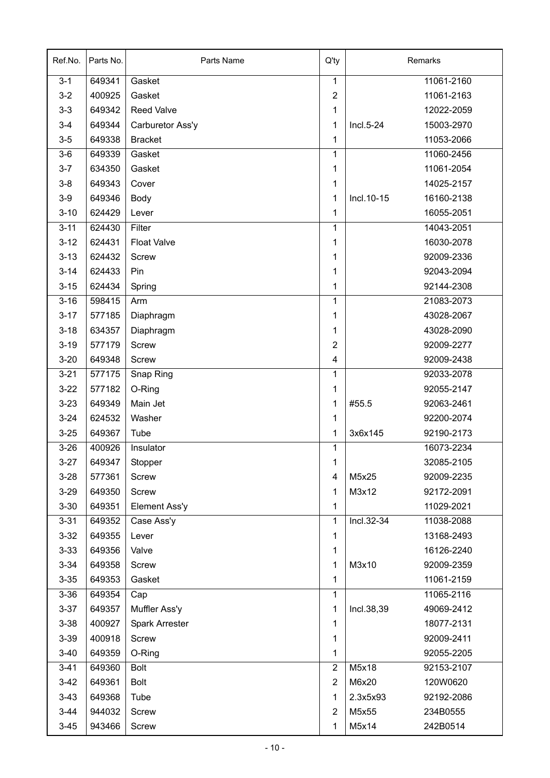| Ref.No.  | Parts No. | Parts Name           | $Q'$ ty        | Remarks                   |  |
|----------|-----------|----------------------|----------------|---------------------------|--|
| $3 - 1$  | 649341    | Gasket               | 1              | 11061-2160                |  |
| $3 - 2$  | 400925    | Gasket               | $\overline{2}$ | 11061-2163                |  |
| $3 - 3$  | 649342    | <b>Reed Valve</b>    | 1              | 12022-2059                |  |
| $3 - 4$  | 649344    | Carburetor Ass'y     | 1              | 15003-2970<br>Incl.5-24   |  |
| $3-5$    | 649338    | <b>Bracket</b>       | 1              | 11053-2066                |  |
| $3-6$    | 649339    | Gasket               | 1              | 11060-2456                |  |
| $3 - 7$  | 634350    | Gasket               | 1              | 11061-2054                |  |
| $3 - 8$  | 649343    | Cover                | 1              | 14025-2157                |  |
| $3-9$    | 649346    | Body                 | 1              | Incl. 10-15<br>16160-2138 |  |
| $3 - 10$ | 624429    | Lever                | 1              | 16055-2051                |  |
| $3 - 11$ | 624430    | Filter               | 1              | 14043-2051                |  |
| $3 - 12$ | 624431    | <b>Float Valve</b>   | 1              | 16030-2078                |  |
| $3 - 13$ | 624432    | <b>Screw</b>         | 1              | 92009-2336                |  |
| $3 - 14$ | 624433    | Pin                  | 1              | 92043-2094                |  |
| $3 - 15$ | 624434    | Spring               | 1              | 92144-2308                |  |
| $3 - 16$ | 598415    | Arm                  | 1              | 21083-2073                |  |
| $3 - 17$ | 577185    | Diaphragm            | 1              | 43028-2067                |  |
| $3 - 18$ | 634357    | Diaphragm            | 1              | 43028-2090                |  |
| $3 - 19$ | 577179    | <b>Screw</b>         | $\overline{2}$ | 92009-2277                |  |
| $3 - 20$ | 649348    | <b>Screw</b>         | 4              | 92009-2438                |  |
| $3 - 21$ | 577175    | Snap Ring            | 1              | 92033-2078                |  |
| $3 - 22$ | 577182    | O-Ring               | 1              | 92055-2147                |  |
| $3 - 23$ | 649349    | Main Jet             | 1              | #55.5<br>92063-2461       |  |
| $3 - 24$ | 624532    | Washer               | 1              | 92200-2074                |  |
| $3 - 25$ | 649367    | Tube                 | 1              | 3x6x145<br>92190-2173     |  |
| $3 - 26$ | 400926    | Insulator            | 1              | 16073-2234                |  |
| $3 - 27$ | 649347    | Stopper              | 1              | 32085-2105                |  |
| $3 - 28$ | 577361    | <b>Screw</b>         | 4              | M5x25<br>92009-2235       |  |
| $3 - 29$ | 649350    | Screw                | 1              | M3x12<br>92172-2091       |  |
| $3 - 30$ | 649351    | <b>Element Ass'y</b> | 1              | 11029-2021                |  |
| $3 - 31$ | 649352    | Case Ass'y           | 1              | Incl.32-34<br>11038-2088  |  |
| $3 - 32$ | 649355    | Lever                | 1              | 13168-2493                |  |
| $3 - 33$ | 649356    | Valve                | 1              | 16126-2240                |  |
| $3 - 34$ | 649358    | Screw                | 1              | M3x10<br>92009-2359       |  |
| $3 - 35$ | 649353    | Gasket               | 1              | 11061-2159                |  |
| $3 - 36$ | 649354    | Cap                  | 1              | 11065-2116                |  |
| $3 - 37$ | 649357    | Muffler Ass'y        | 1              | Incl.38,39<br>49069-2412  |  |
| $3 - 38$ | 400927    | Spark Arrester       | 1              | 18077-2131                |  |
| $3 - 39$ | 400918    | <b>Screw</b>         | 1              | 92009-2411                |  |
| $3 - 40$ | 649359    | O-Ring               | 1              | 92055-2205                |  |
| $3 - 41$ | 649360    | <b>Bolt</b>          | $\overline{2}$ | M5x18<br>92153-2107       |  |
| $3-42$   | 649361    | <b>Bolt</b>          | $\overline{2}$ | M6x20<br>120W0620         |  |
| $3-43$   | 649368    | Tube                 | 1              | 2.3x5x93<br>92192-2086    |  |
| $3 - 44$ | 944032    | Screw                | $\overline{2}$ | M5x55<br>234B0555         |  |
| $3 - 45$ | 943466    | Screw                | 1              | M5x14<br>242B0514         |  |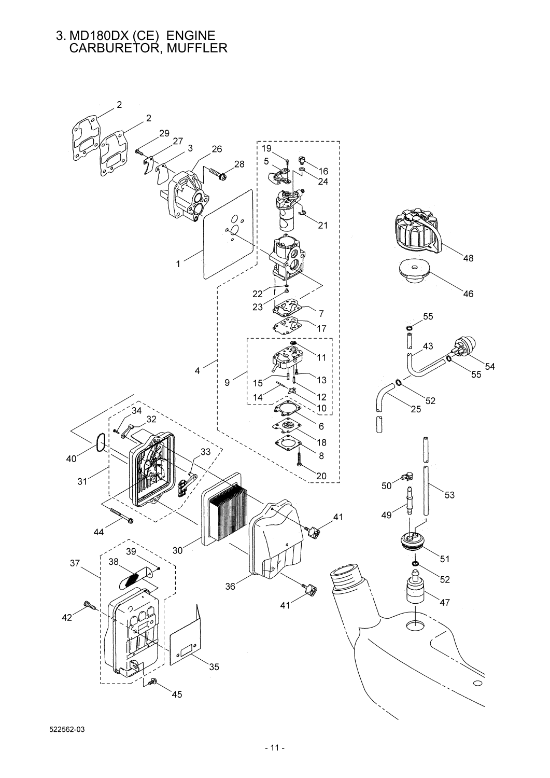#### 3. MD180DX (CE) ENGINE CARBURETOR, MUFFLER

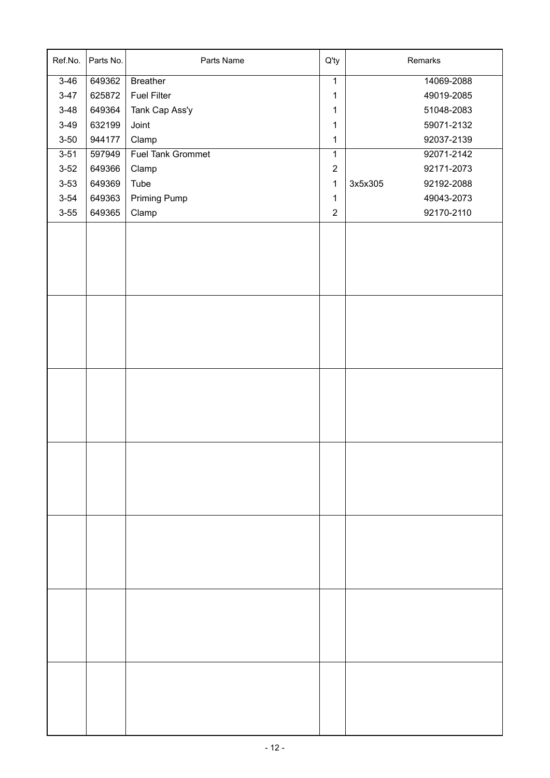| Ref.No.  | Parts No. | Parts Name         | Q'ty           | Remarks               |
|----------|-----------|--------------------|----------------|-----------------------|
| $3 - 46$ | 649362    | <b>Breather</b>    | $\overline{1}$ | 14069-2088            |
| $3 - 47$ | 625872    | <b>Fuel Filter</b> | $\mathbf 1$    | 49019-2085            |
| $3 - 48$ | 649364    | Tank Cap Ass'y     | $\mathbf 1$    | 51048-2083            |
| $3-49$   | 632199    | Joint              | $\mathbf{1}$   | 59071-2132            |
| $3 - 50$ | 944177    | Clamp              | $\mathbf{1}$   | 92037-2139            |
| $3 - 51$ | 597949    | Fuel Tank Grommet  | $\mathbf 1$    | 92071-2142            |
| $3 - 52$ | 649366    | Clamp              | $\mathbf 2$    | 92171-2073            |
| $3 - 53$ | 649369    | Tube               | $\mathbf{1}$   | 3x5x305<br>92192-2088 |
| $3 - 54$ | 649363    | Priming Pump       | $\mathbf 1$    | 49043-2073            |
| $3 - 55$ | 649365    | Clamp              | $\mathbf 2$    | 92170-2110            |
|          |           |                    |                |                       |
|          |           |                    |                |                       |
|          |           |                    |                |                       |
|          |           |                    |                |                       |
|          |           |                    |                |                       |
|          |           |                    |                |                       |
|          |           |                    |                |                       |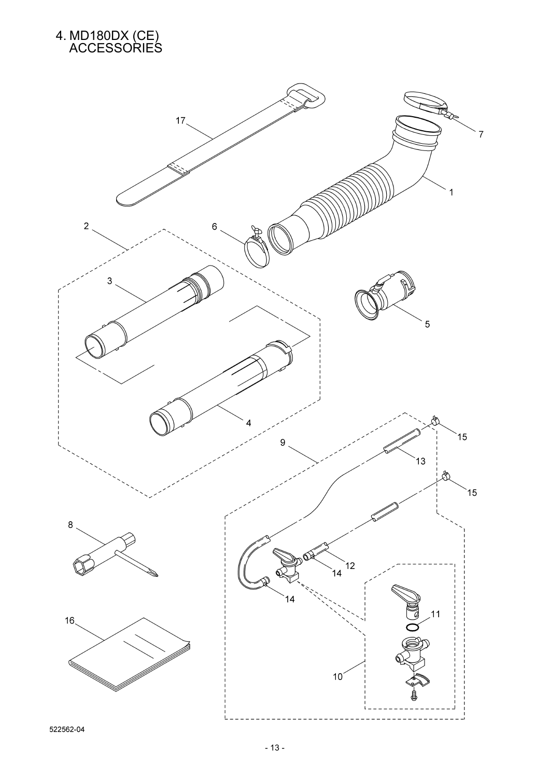